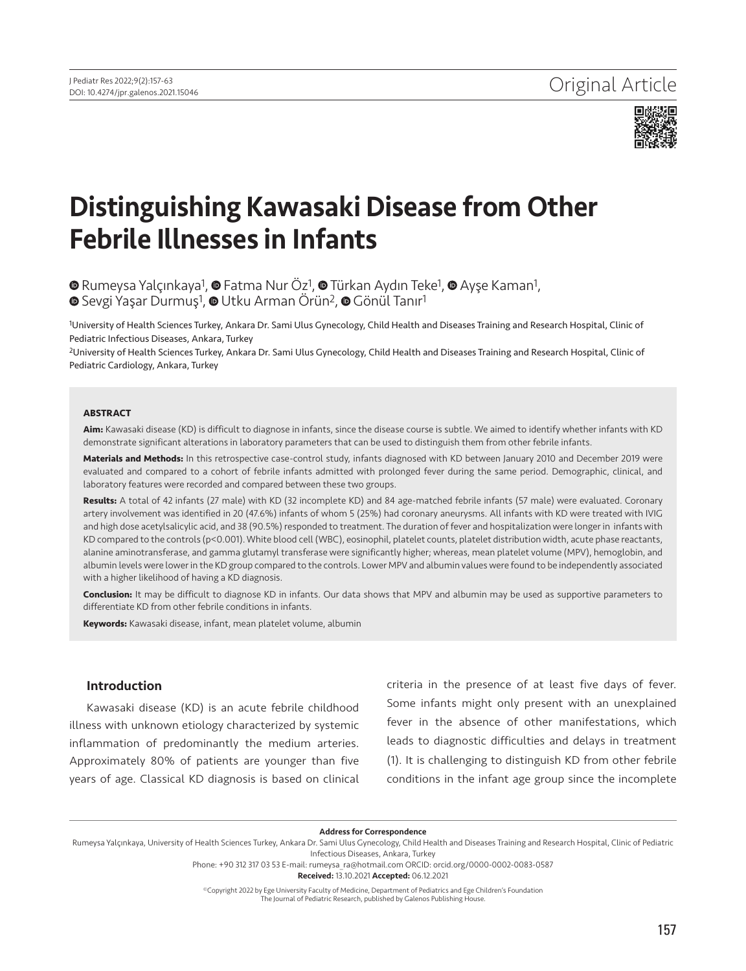

# Distinguishing Kawasaki Disease from Other Febrile Illnesses in Infants

⊕RumeysaYalçınkaya<sup>1</sup>, ⊕ Fatma Nur Öz<sup>1</sup>, ⊕ Türkan Aydın Teke<sup>1</sup>, ⊕ Ayşe Kaman<sup>1</sup>, **⊕**Sevgi Yaşar Durmuş<sup>1</sup>, ● Utku Arman Örün<sup>2</sup>, ● Gönül Tanır<sup>1</sup>

1University of Health Sciences Turkey, Ankara Dr. Sami Ulus Gynecology, Child Health and Diseases Training and Research Hospital, Clinic of Pediatric Infectious Diseases, Ankara, Turkey

2University of Health Sciences Turkey, Ankara Dr. Sami Ulus Gynecology, Child Health and Diseases Training and Research Hospital, Clinic of Pediatric Cardiology, Ankara, Turkey

#### **ABSTRACT**

**Aim:** Kawasaki disease (KD) is difficult to diagnose in infants, since the disease course is subtle. We aimed to identify whether infants with KD demonstrate significant alterations in laboratory parameters that can be used to distinguish them from other febrile infants.

**Materials and Methods:** In this retrospective case-control study, infants diagnosed with KD between January 2010 and December 2019 were evaluated and compared to a cohort of febrile infants admitted with prolonged fever during the same period. Demographic, clinical, and laboratory features were recorded and compared between these two groups.

**Results:** A total of 42 infants (27 male) with KD (32 incomplete KD) and 84 age-matched febrile infants (57 male) were evaluated. Coronary artery involvement was identified in 20 (47.6%) infants of whom 5 (25%) had coronary aneurysms. All infants with KD were treated with IVIG and high dose acetylsalicylic acid, and 38 (90.5%) responded to treatment. The duration of fever and hospitalization were longer in infants with KD compared to the controls (p<0.001). White blood cell (WBC), eosinophil, platelet counts, platelet distribution width, acute phase reactants, alanine aminotransferase, and gamma glutamyl transferase were significantly higher; whereas, mean platelet volume (MPV), hemoglobin, and albumin levels were lower in the KD group compared to the controls. Lower MPV and albumin values were found to be independently associated with a higher likelihood of having a KD diagnosis.

**Conclusion:** It may be difficult to diagnose KD in infants. Our data shows that MPV and albumin may be used as supportive parameters to differentiate KD from other febrile conditions in infants.

**Keywords:** Kawasaki disease, infant, mean platelet volume, albumin

## Introduction

Kawasaki disease (KD) is an acute febrile childhood illness with unknown etiology characterized by systemic inflammation of predominantly the medium arteries. Approximately 80% of patients are younger than five years of age. Classical KD diagnosis is based on clinical criteria in the presence of at least five days of fever. Some infants might only present with an unexplained fever in the absence of other manifestations, which leads to diagnostic difficulties and delays in treatment (1). It is challenging to distinguish KD from other febrile conditions in the infant age group since the incomplete

Address for Correspondence

Phone: +90 312 317 03 53 E-mail: rumeysa\_ra@hotmail.com ORCID: orcid.org/0000-0002-0083-0587

Received: 13.10.2021 Accepted: 06.12.2021

©Copyright 2022 by Ege University Faculty of Medicine, Department of Pediatrics and Ege Children's Foundation

The Journal of Pediatric Research, published by Galenos Publishing House.

Rumeysa Yalçınkaya, University of Health Sciences Turkey, Ankara Dr. Sami Ulus Gynecology, Child Health and Diseases Training and Research Hospital, Clinic of Pediatric Infectious Diseases, Ankara, Turkey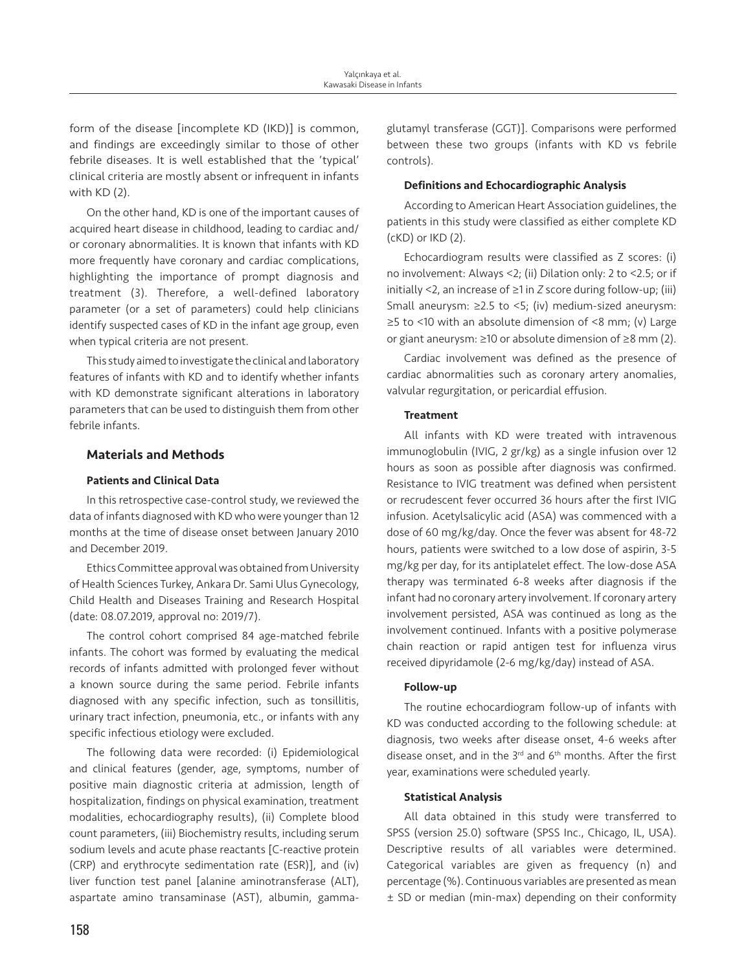form of the disease [incomplete KD (IKD)] is common, and findings are exceedingly similar to those of other febrile diseases. It is well established that the 'typical' clinical criteria are mostly absent or infrequent in infants with KD (2).

On the other hand, KD is one of the important causes of acquired heart disease in childhood, leading to cardiac and/ or coronary abnormalities. It is known that infants with KD more frequently have coronary and cardiac complications, highlighting the importance of prompt diagnosis and treatment (3). Therefore, a well-defined laboratory parameter (or a set of parameters) could help clinicians identify suspected cases of KD in the infant age group, even when typical criteria are not present.

This study aimed to investigate the clinical and laboratory features of infants with KD and to identify whether infants with KD demonstrate significant alterations in laboratory parameters that can be used to distinguish them from other febrile infants.

# Materials and Methods

### Patients and Clinical Data

In this retrospective case-control study, we reviewed the data of infants diagnosed with KD who were younger than 12 months at the time of disease onset between January 2010 and December 2019.

Ethics Committee approval was obtained from University of Health Sciences Turkey, Ankara Dr. Sami Ulus Gynecology, Child Health and Diseases Training and Research Hospital (date: 08.07.2019, approval no: 2019/7).

The control cohort comprised 84 age-matched febrile infants. The cohort was formed by evaluating the medical records of infants admitted with prolonged fever without a known source during the same period. Febrile infants diagnosed with any specific infection, such as tonsillitis, urinary tract infection, pneumonia, etc., or infants with any specific infectious etiology were excluded.

The following data were recorded: (i) Epidemiological and clinical features (gender, age, symptoms, number of positive main diagnostic criteria at admission, length of hospitalization, findings on physical examination, treatment modalities, echocardiography results), (ii) Complete blood count parameters, (iii) Biochemistry results, including serum sodium levels and acute phase reactants [C-reactive protein (CRP) and erythrocyte sedimentation rate (ESR)], and (iv) liver function test panel [alanine aminotransferase (ALT), aspartate amino transaminase (AST), albumin, gammaglutamyl transferase (GGT)]. Comparisons were performed between these two groups (infants with KD vs febrile controls).

#### Definitions and Echocardiographic Analysis

According to American Heart Association guidelines, the patients in this study were classified as either complete KD (cKD) or IKD (2).

Echocardiogram results were classified as Z scores: (i) no involvement: Always <2; (ii) Dilation only: 2 to <2.5; or if initially <2, an increase of ≥1 in *Z* score during follow-up; (iii) Small aneurysm: ≥2.5 to <5; (iv) medium-sized aneurysm: ≥5 to <10 with an absolute dimension of <8 mm; (v) Large or giant aneurysm: ≥10 or absolute dimension of ≥8 mm (2).

Cardiac involvement was defined as the presence of cardiac abnormalities such as coronary artery anomalies, valvular regurgitation, or pericardial effusion.

#### **Treatment**

All infants with KD were treated with intravenous immunoglobulin (IVIG, 2 gr/kg) as a single infusion over 12 hours as soon as possible after diagnosis was confirmed. Resistance to IVIG treatment was defined when persistent or recrudescent fever occurred 36 hours after the first IVIG infusion. Acetylsalicylic acid (ASA) was commenced with a dose of 60 mg/kg/day. Once the fever was absent for 48-72 hours, patients were switched to a low dose of aspirin, 3-5 mg/kg per day, for its antiplatelet effect. The low-dose ASA therapy was terminated 6-8 weeks after diagnosis if the infant had no coronary artery involvement. If coronary artery involvement persisted, ASA was continued as long as the involvement continued. Infants with a positive polymerase chain reaction or rapid antigen test for influenza virus received dipyridamole (2-6 mg/kg/day) instead of ASA.

# Follow-up

The routine echocardiogram follow-up of infants with KD was conducted according to the following schedule: at diagnosis, two weeks after disease onset, 4-6 weeks after disease onset, and in the 3<sup>rd</sup> and 6<sup>th</sup> months. After the first year, examinations were scheduled yearly.

## Statistical Analysis

All data obtained in this study were transferred to SPSS (version 25.0) software (SPSS Inc., Chicago, IL, USA). Descriptive results of all variables were determined. Categorical variables are given as frequency (n) and percentage (%). Continuous variables are presented as mean ± SD or median (min-max) depending on their conformity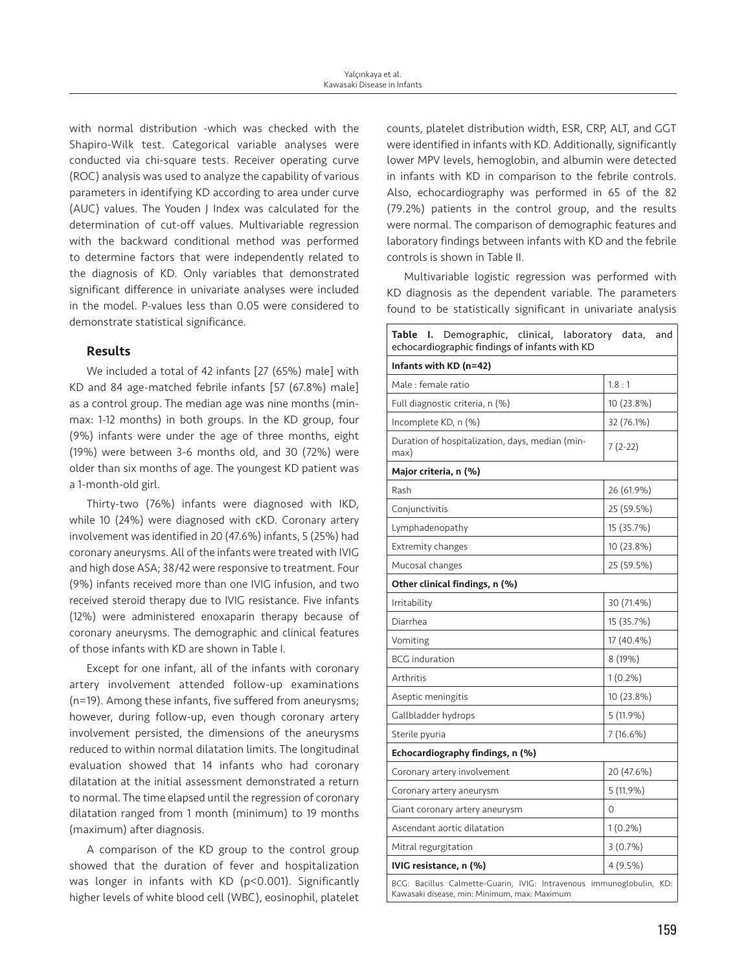with normal distribution -which was checked with the Shapiro-Wilk test. Categorical variable analyses were conducted via chi-square tests. Receiver operating curve (ROC) analysis was used to analyze the capability of various parameters in identifying KD according to area under curve (AUC) values. The Youden J Index was calculated for the determination of cut-off values. Multivariable regression with the backward conditional method was performed to determine factors that were independently related to the diagnosis of KD. Only variables that demonstrated significant difference in univariate analyses were included in the model. P-values less than 0.05 were considered to demonstrate statistical significance.

# Results

We included a total of 42 infants [27 (65%) male] with KD and 84 age-matched febrile infants [57 (67.8%) male] as a control group. The median age was nine months (minmax: 1-12 months) in both groups. In the KD group, four (9%) infants were under the age of three months, eight (19%) were between 3-6 months old, and 30 (72%) were older than six months of age. The youngest KD patient was a 1-month-old girl.

Thirty-two (76%) infants were diagnosed with IKD, while 10 (24%) were diagnosed with cKD. Coronary artery involvement was identified in 20 (47.6%) infants, 5 (25%) had coronary aneurysms. All of the infants were treated with IVIG and high dose ASA; 38/42 were responsive to treatment. Four (9%) infants received more than one IVIG infusion, and two received steroid therapy due to IVIG resistance. Five infants (12%) were administered enoxaparin therapy because of coronary aneurysms. The demographic and clinical features of those infants with KD are shown in Table I.

Except for one infant, all of the infants with coronary artery involvement attended follow-up examinations (n=19). Among these infants, five suffered from aneurysms; however, during follow-up, even though coronary artery involvement persisted, the dimensions of the aneurysms reduced to within normal dilatation limits. The longitudinal evaluation showed that 14 infants who had coronary dilatation at the initial assessment demonstrated a return to normal. The time elapsed until the regression of coronary dilatation ranged from 1 month (minimum) to 19 months (maximum) after diagnosis.

A comparison of the KD group to the control group showed that the duration of fever and hospitalization was longer in infants with KD (p<0.001). Significantly higher levels of white blood cell (WBC), eosinophil, platelet

counts, platelet distribution width, ESR, CRP, ALT, and GGT were identified in infants with KD. Additionally, significantly lower MPV levels, hemoglobin, and albumin were detected in infants with KD in comparison to the febrile controls. Also, echocardiography was performed in 65 of the 82 (79.2%) patients in the control group, and the results were normal. The comparison of demographic features and laboratory findings between infants with KD and the febrile controls is shown in Table II.

Multivariable logistic regression was performed with KD diagnosis as the dependent variable. The parameters found to be statistically significant in univariate analysis

| Demographic, clinical, laboratory data, and<br>Table<br>ı.<br>echocardiographic findings of infants with KD          |             |  |  |  |  |  |  |  |
|----------------------------------------------------------------------------------------------------------------------|-------------|--|--|--|--|--|--|--|
| Infants with KD (n=42)                                                                                               |             |  |  |  |  |  |  |  |
| Male : female ratio                                                                                                  | 1.8:1       |  |  |  |  |  |  |  |
| Full diagnostic criteria, n (%)                                                                                      | 10 (23.8%)  |  |  |  |  |  |  |  |
| Incomplete KD, n (%)                                                                                                 | 32 (76.1%)  |  |  |  |  |  |  |  |
| Duration of hospitalization, days, median (min-<br>max)                                                              | $7(2-22)$   |  |  |  |  |  |  |  |
| Major criteria, n (%)                                                                                                |             |  |  |  |  |  |  |  |
| Rash                                                                                                                 | 26 (61.9%)  |  |  |  |  |  |  |  |
| Conjunctivitis                                                                                                       | 25 (59.5%)  |  |  |  |  |  |  |  |
| Lymphadenopathy                                                                                                      | 15 (35.7%)  |  |  |  |  |  |  |  |
| <b>Extremity changes</b>                                                                                             | 10 (23.8%)  |  |  |  |  |  |  |  |
| Mucosal changes                                                                                                      | 25 (59.5%)  |  |  |  |  |  |  |  |
| Other clinical findings, n (%)                                                                                       |             |  |  |  |  |  |  |  |
| Irritability                                                                                                         | 30 (71.4%)  |  |  |  |  |  |  |  |
| Diarrhea                                                                                                             | 15 (35.7%)  |  |  |  |  |  |  |  |
| Vomiting                                                                                                             | 17 (40.4%)  |  |  |  |  |  |  |  |
| <b>BCG</b> induration                                                                                                | 8 (19%)     |  |  |  |  |  |  |  |
| Arthritis                                                                                                            | $1(0.2\%)$  |  |  |  |  |  |  |  |
| Aseptic meningitis                                                                                                   | 10 (23.8%)  |  |  |  |  |  |  |  |
| Gallbladder hydrops                                                                                                  | $5(11.9\%)$ |  |  |  |  |  |  |  |
| Sterile pyuria                                                                                                       | 7 (16.6%)   |  |  |  |  |  |  |  |
| Echocardiography findings, n (%)                                                                                     |             |  |  |  |  |  |  |  |
| Coronary artery involvement                                                                                          | 20 (47.6%)  |  |  |  |  |  |  |  |
| Coronary artery aneurysm                                                                                             | 5(11.9%)    |  |  |  |  |  |  |  |
| Giant coronary artery aneurysm                                                                                       | $\mathbf 0$ |  |  |  |  |  |  |  |
| Ascendant aortic dilatation                                                                                          | $1(0.2\%)$  |  |  |  |  |  |  |  |
| Mitral regurgitation                                                                                                 | 3(0.7%)     |  |  |  |  |  |  |  |
| IVIG resistance, n (%)<br>$4(9.5\%)$                                                                                 |             |  |  |  |  |  |  |  |
| BCG: Bacillus Calmette-Guarin, IVIG: Intravenous immunoglobulin, KD:<br>Kawasaki disease, min: Minimum, max: Maximum |             |  |  |  |  |  |  |  |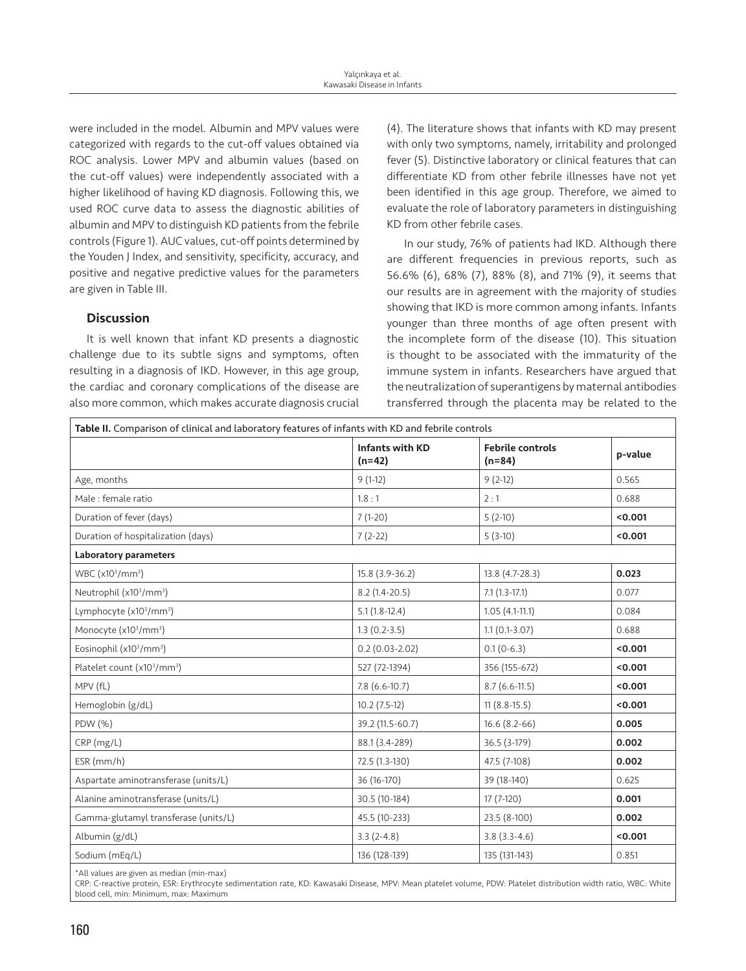were included in the model. Albumin and MPV values were categorized with regards to the cut-off values obtained via ROC analysis. Lower MPV and albumin values (based on the cut-off values) were independently associated with a higher likelihood of having KD diagnosis. Following this, we used ROC curve data to assess the diagnostic abilities of albumin and MPV to distinguish KD patients from the febrile controls (Figure 1). AUC values, cut-off points determined by the Youden J Index, and sensitivity, specificity, accuracy, and positive and negative predictive values for the parameters are given in Table III.

# **Discussion**

It is well known that infant KD presents a diagnostic challenge due to its subtle signs and symptoms, often resulting in a diagnosis of IKD. However, in this age group, the cardiac and coronary complications of the disease are also more common, which makes accurate diagnosis crucial

(4). The literature shows that infants with KD may present with only two symptoms, namely, irritability and prolonged fever (5). Distinctive laboratory or clinical features that can differentiate KD from other febrile illnesses have not yet been identified in this age group. Therefore, we aimed to evaluate the role of laboratory parameters in distinguishing KD from other febrile cases.

In our study, 76% of patients had IKD. Although there are different frequencies in previous reports, such as 56.6% (6), 68% (7), 88% (8), and 71% (9), it seems that our results are in agreement with the majority of studies showing that IKD is more common among infants. Infants younger than three months of age often present with the incomplete form of the disease (10). This situation is thought to be associated with the immaturity of the immune system in infants. Researchers have argued that the neutralization of superantigens by maternal antibodies transferred through the placenta may be related to the

| Table II. Comparison of clinical and laboratory features of infants with KD and febrile controls |                                    |                                     |         |  |  |  |  |  |
|--------------------------------------------------------------------------------------------------|------------------------------------|-------------------------------------|---------|--|--|--|--|--|
|                                                                                                  | <b>Infants with KD</b><br>$(n=42)$ | <b>Febrile controls</b><br>$(n=84)$ | p-value |  |  |  |  |  |
| Age, months                                                                                      | $9(1-12)$                          | $9(2-12)$                           | 0.565   |  |  |  |  |  |
| Male : female ratio                                                                              | 1.8:1                              | 2:1                                 | 0.688   |  |  |  |  |  |
| Duration of fever (days)                                                                         | $7(1-20)$                          | $5(2-10)$                           | < 0.001 |  |  |  |  |  |
| Duration of hospitalization (days)                                                               | $7(2-22)$                          | $5(3-10)$                           | < 0.001 |  |  |  |  |  |
| <b>Laboratory parameters</b>                                                                     |                                    |                                     |         |  |  |  |  |  |
| WBC (x10 <sup>3</sup> /mm <sup>3</sup> )                                                         | 15.8 (3.9-36.2)                    | 13.8 (4.7-28.3)                     | 0.023   |  |  |  |  |  |
| Neutrophil (x10 <sup>3</sup> /mm <sup>3</sup> )                                                  | $8.2(1.4-20.5)$                    | $7.1(1.3-17.1)$                     | 0.077   |  |  |  |  |  |
| Lymphocyte (x10 <sup>3</sup> /mm <sup>3</sup> )                                                  | $5.1(1.8-12.4)$                    | $1.05(4.1-11.1)$                    | 0.084   |  |  |  |  |  |
| Monocyte (x10 <sup>3</sup> /mm <sup>3</sup> )                                                    | $1.3(0.2-3.5)$                     | $1.1(0.1-3.07)$                     | 0.688   |  |  |  |  |  |
| Eosinophil (x10 <sup>3</sup> /mm <sup>3</sup> )                                                  | $0.2(0.03 - 2.02)$                 | $0.1(0-6.3)$                        | < 0.001 |  |  |  |  |  |
| Platelet count (x10 <sup>3</sup> /mm <sup>3</sup> )                                              | 527 (72-1394)                      | 356 (155-672)                       | < 0.001 |  |  |  |  |  |
| MPV (fL)                                                                                         | $7.8(6.6-10.7)$                    | $8.7(6.6-11.5)$                     | < 0.001 |  |  |  |  |  |
| Hemoglobin (g/dL)                                                                                | $10.2(7.5-12)$                     | $11(8.8-15.5)$                      | < 0.001 |  |  |  |  |  |
| PDW (%)                                                                                          | 39.2 (11.5-60.7)                   | $16.6(8.2-66)$                      | 0.005   |  |  |  |  |  |
| CRP(mg/L)                                                                                        | 88.1 (3.4-289)                     | 36.5 (3-179)                        | 0.002   |  |  |  |  |  |
| $ESR$ (mm/h)                                                                                     | 72.5 (1.3-130)                     | 47.5 (7-108)                        | 0.002   |  |  |  |  |  |
| Aspartate aminotransferase (units/L)                                                             | 36 (16-170)                        | 39 (18-140)                         | 0.625   |  |  |  |  |  |
| Alanine aminotransferase (units/L)                                                               | 30.5 (10-184)                      | $17(7-120)$                         | 0.001   |  |  |  |  |  |
| Gamma-glutamyl transferase (units/L)                                                             | 45.5 (10-233)                      | 23.5 (8-100)                        | 0.002   |  |  |  |  |  |
| Albumin (g/dL)                                                                                   | $3.3(2-4.8)$                       | $3.8(3.3-4.6)$                      | < 0.001 |  |  |  |  |  |
| Sodium (mEq/L)                                                                                   | 136 (128-139)                      | 135 (131-143)                       | 0.851   |  |  |  |  |  |

\*All values are given as median (min-max)

CRP: C-reactive protein, ESR: Erythrocyte sedimentation rate, KD: Kawasaki Disease, MPV: Mean platelet volume, PDW: Platelet distribution width ratio, WBC: White blood cell, min: Minimum, max: Maximum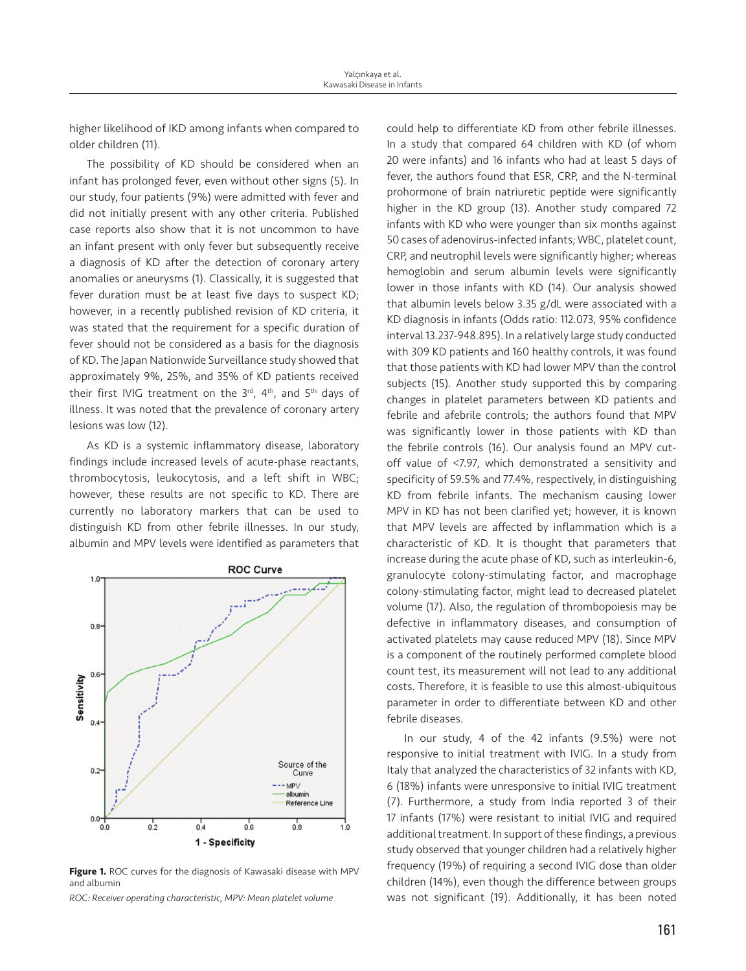higher likelihood of IKD among infants when compared to older children (11).

The possibility of KD should be considered when an infant has prolonged fever, even without other signs (5). In our study, four patients (9%) were admitted with fever and did not initially present with any other criteria. Published case reports also show that it is not uncommon to have an infant present with only fever but subsequently receive a diagnosis of KD after the detection of coronary artery anomalies or aneurysms (1). Classically, it is suggested that fever duration must be at least five days to suspect KD; however, in a recently published revision of KD criteria, it was stated that the requirement for a specific duration of fever should not be considered as a basis for the diagnosis of KD. The Japan Nationwide Surveillance study showed that approximately 9%, 25%, and 35% of KD patients received their first IVIG treatment on the 3rd, 4th, and 5th days of illness. It was noted that the prevalence of coronary artery lesions was low (12).

As KD is a systemic inflammatory disease, laboratory findings include increased levels of acute-phase reactants, thrombocytosis, leukocytosis, and a left shift in WBC; however, these results are not specific to KD. There are currently no laboratory markers that can be used to distinguish KD from other febrile illnesses. In our study, albumin and MPV levels were identified as parameters that



**Figure 1.** ROC curves for the diagnosis of Kawasaki disease with MPV and albumin

*ROC: Receiver operating characteristic, MPV: Mean platelet volume*

could help to differentiate KD from other febrile illnesses. In a study that compared 64 children with KD (of whom 20 were infants) and 16 infants who had at least 5 days of fever, the authors found that ESR, CRP, and the N-terminal prohormone of brain natriuretic peptide were significantly higher in the KD group (13). Another study compared 72 infants with KD who were younger than six months against 50 cases of adenovirus-infected infants; WBC, platelet count, CRP, and neutrophil levels were significantly higher; whereas hemoglobin and serum albumin levels were significantly lower in those infants with KD (14). Our analysis showed that albumin levels below 3.35 g/dL were associated with a KD diagnosis in infants (Odds ratio: 112.073, 95% confidence interval 13.237-948.895). In a relatively large study conducted with 309 KD patients and 160 healthy controls, it was found that those patients with KD had lower MPV than the control subjects (15). Another study supported this by comparing changes in platelet parameters between KD patients and febrile and afebrile controls; the authors found that MPV was significantly lower in those patients with KD than the febrile controls (16). Our analysis found an MPV cutoff value of <7.97, which demonstrated a sensitivity and specificity of 59.5% and 77.4%, respectively, in distinguishing KD from febrile infants. The mechanism causing lower MPV in KD has not been clarified yet; however, it is known that MPV levels are affected by inflammation which is a characteristic of KD. It is thought that parameters that increase during the acute phase of KD, such as interleukin-6, granulocyte colony-stimulating factor, and macrophage colony-stimulating factor, might lead to decreased platelet volume (17). Also, the regulation of thrombopoiesis may be defective in inflammatory diseases, and consumption of activated platelets may cause reduced MPV (18). Since MPV is a component of the routinely performed complete blood count test, its measurement will not lead to any additional costs. Therefore, it is feasible to use this almost-ubiquitous parameter in order to differentiate between KD and other febrile diseases.

In our study, 4 of the 42 infants (9.5%) were not responsive to initial treatment with IVIG. In a study from Italy that analyzed the characteristics of 32 infants with KD, 6 (18%) infants were unresponsive to initial IVIG treatment (7). Furthermore, a study from India reported 3 of their 17 infants (17%) were resistant to initial IVIG and required additional treatment. In support of these findings, a previous study observed that younger children had a relatively higher frequency (19%) of requiring a second IVIG dose than older children (14%), even though the difference between groups was not significant (19). Additionally, it has been noted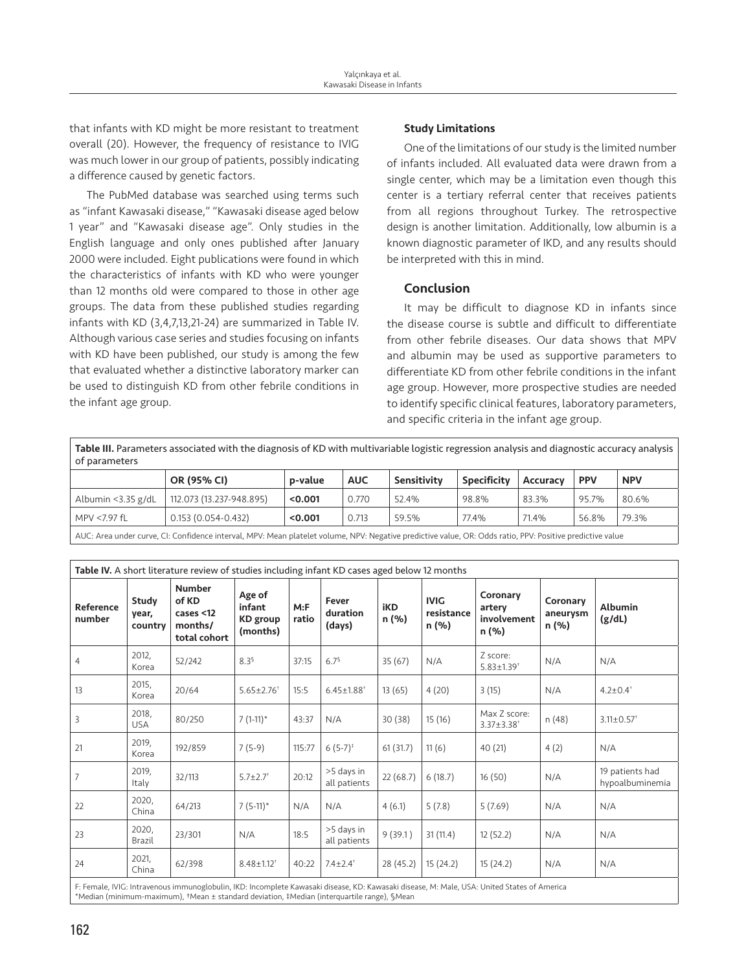that infants with KD might be more resistant to treatment overall (20). However, the frequency of resistance to IVIG was much lower in our group of patients, possibly indicating a difference caused by genetic factors.

The PubMed database was searched using terms such as "infant Kawasaki disease," "Kawasaki disease aged below 1 year" and "Kawasaki disease age". Only studies in the English language and only ones published after January 2000 were included. Eight publications were found in which the characteristics of infants with KD who were younger than 12 months old were compared to those in other age groups. The data from these published studies regarding infants with KD (3,4,7,13,21-24) are summarized in Table IV. Although various case series and studies focusing on infants with KD have been published, our study is among the few that evaluated whether a distinctive laboratory marker can be used to distinguish KD from other febrile conditions in the infant age group.

## Study Limitations

One of the limitations of our study is the limited number of infants included. All evaluated data were drawn from a single center, which may be a limitation even though this center is a tertiary referral center that receives patients from all regions throughout Turkey. The retrospective design is another limitation. Additionally, low albumin is a known diagnostic parameter of IKD, and any results should be interpreted with this in mind.

## Conclusion

It may be difficult to diagnose KD in infants since the disease course is subtle and difficult to differentiate from other febrile diseases. Our data shows that MPV and albumin may be used as supportive parameters to differentiate KD from other febrile conditions in the infant age group. However, more prospective studies are needed to identify specific clinical features, laboratory parameters, and specific criteria in the infant age group.

Table III. Parameters associated with the diagnosis of KD with multivariable logistic regression analysis and diagnostic accuracy analysis of parameters

|                                                                                                                                                        | OR (95% CI)              | p-value | <b>AUC</b> | Sensitivity | <b>Specificity</b> | Accuracy | <b>PPV</b> | <b>NPV</b> |  |
|--------------------------------------------------------------------------------------------------------------------------------------------------------|--------------------------|---------|------------|-------------|--------------------|----------|------------|------------|--|
| Albumin < $3.35$ g/dL                                                                                                                                  | 112.073 (13.237-948.895) | < 0.001 | 0.770      | 52.4%       | 98.8%              | 83.3%    | 95.7%      | 80.6%      |  |
| MPV <7.97 fL                                                                                                                                           | $0.153(0.054 - 0.432)$   | < 0.001 | 0.713      | 59.5%       | 77.4%              | 71.4%    | 56.8%      | 79.3%      |  |
| ALIC, Area under curve Cli Confidence interval, MDV, Mean platelet volume NDV, Negative prodictive value OB, Odds ratio DDV, Positive prodictive value |                          |         |            |             |                    |          |            |            |  |

AUC: Area under curve, CI: Confidence interval, MPV: Mean platelet volume, NPV: Negative predictive value, OR: Odds ratio, PPV: Positive predictive value

| Table IV. A short literature review of studies including infant KD cases aged below 12 months                                               |                           |                                                                   |                                                 |               |                              |              |                                    |                                              |                               |                                    |
|---------------------------------------------------------------------------------------------------------------------------------------------|---------------------------|-------------------------------------------------------------------|-------------------------------------------------|---------------|------------------------------|--------------|------------------------------------|----------------------------------------------|-------------------------------|------------------------------------|
| Reference<br>number                                                                                                                         | Study<br>year,<br>country | <b>Number</b><br>of KD<br>cases $<$ 12<br>months/<br>total cohort | Age of<br>infant<br><b>KD</b> group<br>(months) | M: F<br>ratio | Fever<br>duration<br>(days)  | iKD<br>n (%) | <b>IVIG</b><br>resistance<br>n (%) | Coronary<br>artery<br>involvement<br>n (%)   | Coronary<br>aneurysm<br>n (%) | <b>Albumin</b><br>(g/dL)           |
| 4                                                                                                                                           | 2012,<br>Korea            | 52/242                                                            | 8.3 <sup>5</sup>                                | 37:15         | 6.7 <sup>5</sup>             | 35(67)       | N/A                                | Z score:<br>$5.83 \pm 1.39$ <sup>+</sup>     | N/A                           | N/A                                |
| 13                                                                                                                                          | 2015.<br>Korea            | 20/64                                                             | $5.65 \pm 2.76$ <sup>+</sup>                    | 15:5          | $6.45 \pm 1.88$ <sup>+</sup> | 13(65)       | 4(20)                              | 3(15)                                        | N/A                           | $4.2 \pm 0.4$ <sup>t</sup>         |
| 3                                                                                                                                           | 2018,<br><b>USA</b>       | 80/250                                                            | $7(1-11)^*$                                     | 43:37         | N/A                          | 30(38)       | 15(16)                             | Max Z score:<br>$3.37 \pm 3.38$ <sup>+</sup> | n (48)                        | $3.11 \pm 0.57$ <sup>+</sup>       |
| 21                                                                                                                                          | 2019,<br>Korea            | 192/859                                                           | $7(5-9)$                                        | 115:77        | $6(5-7)^{t}$                 | 61(31.7)     | 11(6)                              | 40 (21)                                      | 4(2)                          | N/A                                |
| $\overline{7}$                                                                                                                              | 2019,<br>Italy            | 32/113                                                            | $5.7 \pm 2.7$ <sup>+</sup>                      | 20:12         | >5 days in<br>all patients   | 22(68.7)     | 6(18.7)                            | 16(50)                                       | N/A                           | 19 patients had<br>hypoalbuminemia |
| 22                                                                                                                                          | 2020,<br>China            | 64/213                                                            | $7(5-11)^*$                                     | N/A           | N/A                          | 4(6.1)       | 5(7.8)                             | 5(7.69)                                      | N/A                           | N/A                                |
| 23                                                                                                                                          | 2020,<br>Brazil           | 23/301                                                            | N/A                                             | 18:5          | >5 days in<br>all patients   | 9(39.1)      | 31(11.4)                           | 12(52.2)                                     | N/A                           | N/A                                |
| 24                                                                                                                                          | 2021,<br>China            | 62/398                                                            | $8.48 \pm 1.12$ <sup>+</sup>                    | 40:22         | $7.4 \pm 2.4$ <sup>+</sup>   | 28 (45.2)    | 15(24.2)                           | 15(24.2)                                     | N/A                           | N/A                                |
| F: Female, IVIG: Intravenous immunoglobulin, IKD: Incomplete Kawasaki disease, KD: Kawasaki disease, M: Male, USA: United States of America |                           |                                                                   |                                                 |               |                              |              |                                    |                                              |                               |                                    |

\*Median (minimum-maximum), †Mean ± standard deviation, ‡Median (interquartile range), §Mean